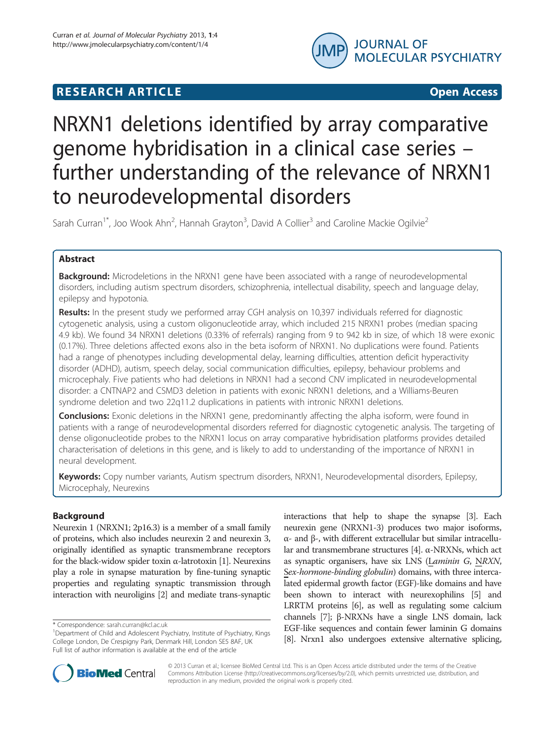

## **RESEARCH ARTICLE Example 2018 12:00 Department of the Contract Open Access**

# NRXN1 deletions identified by array comparative genome hybridisation in a clinical case series – further understanding of the relevance of NRXN1 to neurodevelopmental disorders

Sarah Curran<sup>1\*</sup>, Joo Wook Ahn<sup>2</sup>, Hannah Grayton<sup>3</sup>, David A Collier<sup>3</sup> and Caroline Mackie Ogilvie<sup>2</sup>

## Abstract

**Background:** Microdeletions in the NRXN1 gene have been associated with a range of neurodevelopmental disorders, including autism spectrum disorders, schizophrenia, intellectual disability, speech and language delay, epilepsy and hypotonia.

Results: In the present study we performed array CGH analysis on 10,397 individuals referred for diagnostic cytogenetic analysis, using a custom oligonucleotide array, which included 215 NRXN1 probes (median spacing 4.9 kb). We found 34 NRXN1 deletions (0.33% of referrals) ranging from 9 to 942 kb in size, of which 18 were exonic (0.17%). Three deletions affected exons also in the beta isoform of NRXN1. No duplications were found. Patients had a range of phenotypes including developmental delay, learning difficulties, attention deficit hyperactivity disorder (ADHD), autism, speech delay, social communication difficulties, epilepsy, behaviour problems and microcephaly. Five patients who had deletions in NRXN1 had a second CNV implicated in neurodevelopmental disorder: a CNTNAP2 and CSMD3 deletion in patients with exonic NRXN1 deletions, and a Williams-Beuren syndrome deletion and two 22q11.2 duplications in patients with intronic NRXN1 deletions.

**Conclusions:** Exonic deletions in the NRXN1 gene, predominantly affecting the alpha isoform, were found in patients with a range of neurodevelopmental disorders referred for diagnostic cytogenetic analysis. The targeting of dense oligonucleotide probes to the NRXN1 locus on array comparative hybridisation platforms provides detailed characterisation of deletions in this gene, and is likely to add to understanding of the importance of NRXN1 in neural development.

Keywords: Copy number variants, Autism spectrum disorders, NRXN1, Neurodevelopmental disorders, Epilepsy, Microcephaly, Neurexins

## Background

Neurexin 1 (NRXN1; 2p16.3) is a member of a small family of proteins, which also includes neurexin 2 and neurexin 3, originally identified as synaptic transmembrane receptors for the black-widow spider toxin α-latrotoxin [\[1\]](#page-5-0). Neurexins play a role in synapse maturation by fine-tuning synaptic properties and regulating synaptic transmission through interaction with neuroligins [\[2](#page-5-0)] and mediate trans-synaptic

interactions that help to shape the synapse [\[3](#page-5-0)]. Each neurexin gene (NRXN1-3) produces two major isoforms, α- and β-, with different extracellular but similar intracellular and transmembrane structures [\[4\]](#page-5-0). α-NRXNs, which act as synaptic organisers, have six LNS (Laminin G, NRXN, Sex-hormone-binding globulin) domains, with three intercalated epidermal growth factor (EGF)-like domains and have been shown to interact with neurexophilins [[5\]](#page-5-0) and LRRTM proteins [\[6](#page-5-0)], as well as regulating some calcium channels [[7](#page-5-0)]; β-NRXNs have a single LNS domain, lack EGF-like sequences and contain fewer laminin G domains [[8](#page-5-0)]. Nrxn1 also undergoes extensive alternative splicing,



© 2013 Curran et al.; licensee BioMed Central Ltd. This is an Open Access article distributed under the terms of the Creative Commons Attribution License [\(http://creativecommons.org/licenses/by/2.0\)](http://creativecommons.org/licenses/by/2.0), which permits unrestricted use, distribution, and reproduction in any medium, provided the original work is properly cited.

<sup>\*</sup> Correspondence: [sarah.curran@kcl.ac.uk](mailto:sarah.curran@kcl.ac.uk) <sup>1</sup>

<sup>&</sup>lt;sup>1</sup>Department of Child and Adolescent Psychiatry, Institute of Psychiatry, Kings College London, De Crespigny Park, Denmark Hill, London SE5 8AF, UK Full list of author information is available at the end of the article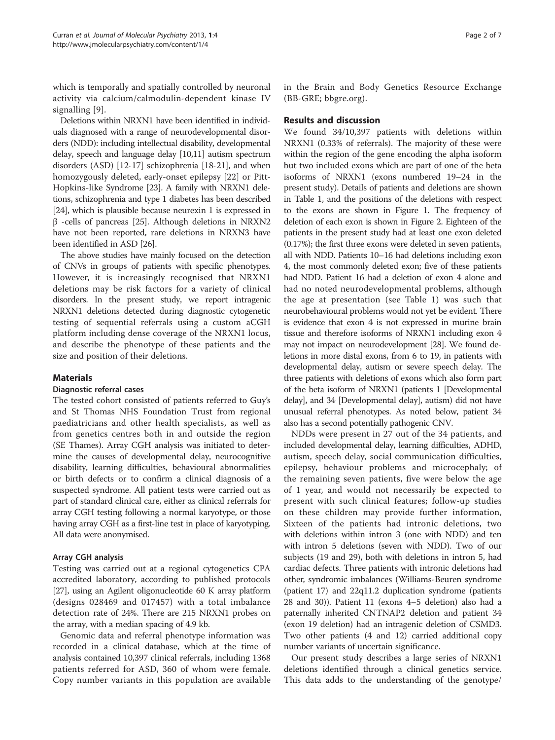which is temporally and spatially controlled by neuronal activity via calcium/calmodulin-dependent kinase IV signalling [\[9](#page-5-0)].

Deletions within NRXN1 have been identified in individuals diagnosed with a range of neurodevelopmental disorders (NDD): including intellectual disability, developmental delay, speech and language delay [[10,11\]](#page-5-0) autism spectrum disorders (ASD) [\[12-17](#page-5-0)] schizophrenia [\[18-21](#page-6-0)], and when homozygously deleted, early-onset epilepsy [[22\]](#page-6-0) or Pitt-Hopkins-like Syndrome [\[23\]](#page-6-0). A family with NRXN1 deletions, schizophrenia and type 1 diabetes has been described [[24](#page-6-0)], which is plausible because neurexin 1 is expressed in β -cells of pancreas [\[25\]](#page-6-0). Although deletions in NRXN2 have not been reported, rare deletions in NRXN3 have been identified in ASD [[26](#page-6-0)].

The above studies have mainly focused on the detection of CNVs in groups of patients with specific phenotypes. However, it is increasingly recognised that NRXN1 deletions may be risk factors for a variety of clinical disorders. In the present study, we report intragenic NRXN1 deletions detected during diagnostic cytogenetic testing of sequential referrals using a custom aCGH platform including dense coverage of the NRXN1 locus, and describe the phenotype of these patients and the size and position of their deletions.

## **Materials**

## Diagnostic referral cases

The tested cohort consisted of patients referred to Guy's and St Thomas NHS Foundation Trust from regional paediatricians and other health specialists, as well as from genetics centres both in and outside the region (SE Thames). Array CGH analysis was initiated to determine the causes of developmental delay, neurocognitive disability, learning difficulties, behavioural abnormalities or birth defects or to confirm a clinical diagnosis of a suspected syndrome. All patient tests were carried out as part of standard clinical care, either as clinical referrals for array CGH testing following a normal karyotype, or those having array CGH as a first-line test in place of karyotyping. All data were anonymised.

## Array CGH analysis

Testing was carried out at a regional cytogenetics CPA accredited laboratory, according to published protocols [[27](#page-6-0)], using an Agilent oligonucleotide 60 K array platform (designs 028469 and 017457) with a total imbalance detection rate of 24%. There are 215 NRXN1 probes on the array, with a median spacing of 4.9 kb.

Genomic data and referral phenotype information was recorded in a clinical database, which at the time of analysis contained 10,397 clinical referrals, including 1368 patients referred for ASD, 360 of whom were female. Copy number variants in this population are available in the Brain and Body Genetics Resource Exchange (BB-GRE; bbgre.org).

## Results and discussion

We found 34/10,397 patients with deletions within NRXN1 (0.33% of referrals). The majority of these were within the region of the gene encoding the alpha isoform but two included exons which are part of one of the beta isoforms of NRXN1 (exons numbered 19–24 in the present study). Details of patients and deletions are shown in Table [1,](#page-2-0) and the positions of the deletions with respect to the exons are shown in Figure [1.](#page-3-0) The frequency of deletion of each exon is shown in Figure [2](#page-4-0). Eighteen of the patients in the present study had at least one exon deleted (0.17%); the first three exons were deleted in seven patients, all with NDD. Patients 10–16 had deletions including exon 4, the most commonly deleted exon; five of these patients had NDD. Patient 16 had a deletion of exon 4 alone and had no noted neurodevelopmental problems, although the age at presentation (see Table [1](#page-2-0)) was such that neurobehavioural problems would not yet be evident. There is evidence that exon 4 is not expressed in murine brain tissue and therefore isoforms of NRXN1 including exon 4 may not impact on neurodevelopment [\[28\]](#page-6-0). We found deletions in more distal exons, from 6 to 19, in patients with developmental delay, autism or severe speech delay. The three patients with deletions of exons which also form part of the beta isoform of NRXN1 (patients 1 [Developmental delay], and 34 [Developmental delay], autism) did not have unusual referral phenotypes. As noted below, patient 34 also has a second potentially pathogenic CNV.

NDDs were present in 27 out of the 34 patients, and included developmental delay, learning difficulties, ADHD, autism, speech delay, social communication difficulties, epilepsy, behaviour problems and microcephaly; of the remaining seven patients, five were below the age of 1 year, and would not necessarily be expected to present with such clinical features; follow-up studies on these children may provide further information, Sixteen of the patients had intronic deletions, two with deletions within intron 3 (one with NDD) and ten with intron 5 deletions (seven with NDD). Two of our subjects (19 and 29), both with deletions in intron 5, had cardiac defects. Three patients with intronic deletions had other, syndromic imbalances (Williams-Beuren syndrome (patient 17) and 22q11.2 duplication syndrome (patients 28 and 30)). Patient 11 (exons 4–5 deletion) also had a paternally inherited CNTNAP2 deletion and patient 34 (exon 19 deletion) had an intragenic deletion of CSMD3. Two other patients (4 and 12) carried additional copy number variants of uncertain significance.

Our present study describes a large series of NRXN1 deletions identified through a clinical genetics service. This data adds to the understanding of the genotype/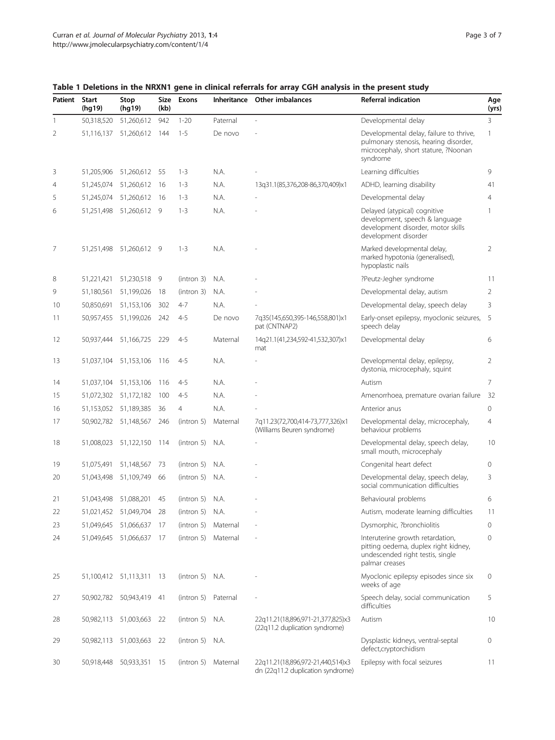| Patient | <b>Start</b><br>(hg19) | Stop<br>(hg19)           | Size<br>(kb) | <b>Exons</b>      | Inheritance         | <b>Other imbalances</b>                                                | <b>Referral indication</b>                                                                                                           | Age<br>(yrs)   |
|---------|------------------------|--------------------------|--------------|-------------------|---------------------|------------------------------------------------------------------------|--------------------------------------------------------------------------------------------------------------------------------------|----------------|
| 1       | 50,318,520             | 51,260,612               | 942          | $1 - 20$          | Paternal            |                                                                        | Developmental delay                                                                                                                  | 3              |
| 2       | 51,116,137             | 51,260,612               | 144          | $1 - 5$           | De novo             |                                                                        | Developmental delay, failure to thrive,<br>pulmonary stenosis, hearing disorder,<br>microcephaly, short stature, ?Noonan<br>syndrome | $\mathbf{1}$   |
| 3       | 51,205,906             | 51,260,612 55            |              | $1 - 3$           | N.A.                |                                                                        | Learning difficulties                                                                                                                | 9              |
| 4       | 51,245,074             | 51,260,612               | -16          | $1 - 3$           | N.A.                | 13q31.1(85,376,208-86,370,409)x1                                       | ADHD, learning disability                                                                                                            | 41             |
| 5       | 51,245,074             | 51,260,612               | -16          | $1 - 3$           | N.A.                |                                                                        | Developmental delay                                                                                                                  | $\overline{4}$ |
| 6       |                        | 51,251,498 51,260,612 9  |              | $1 - 3$           | N.A.                |                                                                        | Delayed (atypical) cognitive<br>development, speech & language<br>development disorder, motor skills<br>development disorder         | 1              |
| 7       | 51,251,498             | 51,260,612 9             |              | $1 - 3$           | N.A.                |                                                                        | Marked developmental delay,<br>marked hypotonia (generalised),<br>hypoplastic nails                                                  | 2              |
| 8       | 51,221,421             | 51,230,518 9             |              | (intron 3)        | N.A.                |                                                                        | ?Peutz-Jegher syndrome                                                                                                               | 11             |
| 9       | 51,180,561             | 51,199,026               | 18           | (intron 3)        | N.A.                |                                                                        | Developmental delay, autism                                                                                                          | 2              |
| 10      | 50,850,691             | 51,153,106               | 302          | $4 - 7$           | N.A.                |                                                                        | Developmental delay, speech delay                                                                                                    | 3              |
| 11      | 50,957,455             | 51,199,026               | 242          | $4 - 5$           | De novo             | 7q35(145,650,395-146,558,801)x1<br>pat (CNTNAP2)                       | Early-onset epilepsy, myoclonic seizures,<br>speech delay                                                                            | 5              |
| 12      | 50,937,444             | 51,166,725               | 229          | $4 - 5$           | Maternal            | 14q21.1(41,234,592-41,532,307)x1<br>mat                                | Developmental delay                                                                                                                  | 6              |
| 13      | 51,037,104             | 51,153,106               | 116          | $4 - 5$           | N.A.                |                                                                        | Developmental delay, epilepsy,<br>dystonia, microcephaly, squint                                                                     | $\overline{2}$ |
| 14      | 51,037,104             | 51,153,106               | 116          | $4 - 5$           | N.A.                |                                                                        | Autism                                                                                                                               | $\overline{7}$ |
| 15      | 51,072,302             | 51,172,182               | 100          | $4 - 5$           | N.A.                |                                                                        | Amenorrhoea, premature ovarian failure                                                                                               | 32             |
| 16      | 51,153,052             | 51,189,385               | 36           | $\overline{4}$    | N.A.                |                                                                        | Anterior anus                                                                                                                        | $\circ$        |
| 17      | 50,902,782             | 51,148,567               | 246          | (intron 5)        | Maternal            | 7q11.23(72,700,414-73,777,326)x1<br>(Williams Beuren syndrome)         | Developmental delay, microcephaly,<br>behaviour problems                                                                             | $\overline{4}$ |
| 18      | 51,008,023             | 51,122,150               | -114         | (intron 5)        | N.A.                |                                                                        | Developmental delay, speech delay,<br>small mouth, microcephaly                                                                      | 10             |
| 19      | 51,075,491             | 51,148,567               | 73           | (intron 5)        | N.A.                |                                                                        | Congenital heart defect                                                                                                              | $\mathbf{0}$   |
| 20      | 51,043,498             | 51,109,749               | 66           | $(intron 5)$ N.A. |                     |                                                                        | Developmental delay, speech delay,<br>social communication difficulties                                                              | 3              |
| 21      | 51,043,498             | 51,088,201               | 45           | $(intron 5)$ N.A. |                     |                                                                        | Behavioural problems                                                                                                                 | 6              |
| 22      |                        | 51,021,452 51,049,704    | 28           | $(intron 5)$ N.A. |                     |                                                                        | Autism, moderate learning difficulties                                                                                               | 11             |
| 23      | 51,049,645             | 51,066,637               | -17          | (intron 5)        | Maternal            |                                                                        | Dysmorphic, ?bronchiolitis                                                                                                           | $\mathbf{0}$   |
| 24      |                        | 51,049,645 51,066,637    | - 17         |                   | (intron 5) Maternal |                                                                        | Interuterine growth retardation,<br>pitting oedema, duplex right kidney,<br>undescended right testis, single<br>palmar creases       | $\mathbf{0}$   |
| 25      |                        | 51,100,412 51,113,311 13 |              | $(intron 5)$ N.A. |                     |                                                                        | Myoclonic epilepsy episodes since six<br>weeks of age                                                                                | 0              |
| 27      | 50,902,782             | 50,943,419 41            |              | (intron 5)        | Paternal            |                                                                        | Speech delay, social communication<br>difficulties                                                                                   | 5              |
| 28      |                        | 50,982,113 51,003,663 22 |              | $(intron 5)$ N.A. |                     | 22q11.21(18,896,971-21,377,825)x3<br>(22q11.2 duplication syndrome)    | Autism                                                                                                                               | 10             |
| 29      |                        | 50,982,113 51,003,663 22 |              | $(intron 5)$ N.A. |                     |                                                                        | Dysplastic kidneys, ventral-septal<br>defect,cryptorchidism                                                                          | $\circ$        |
| 30      | 50,918,448             | 50,933,351               | - 15         |                   | (intron 5) Maternal | 22q11.21(18,896,972-21,440,514)x3<br>dn (22q11.2 duplication syndrome) | Epilepsy with focal seizures                                                                                                         | 11             |

<span id="page-2-0"></span>Table 1 Deletions in the NRXN1 gene in clinical referrals for array CGH analysis in the present study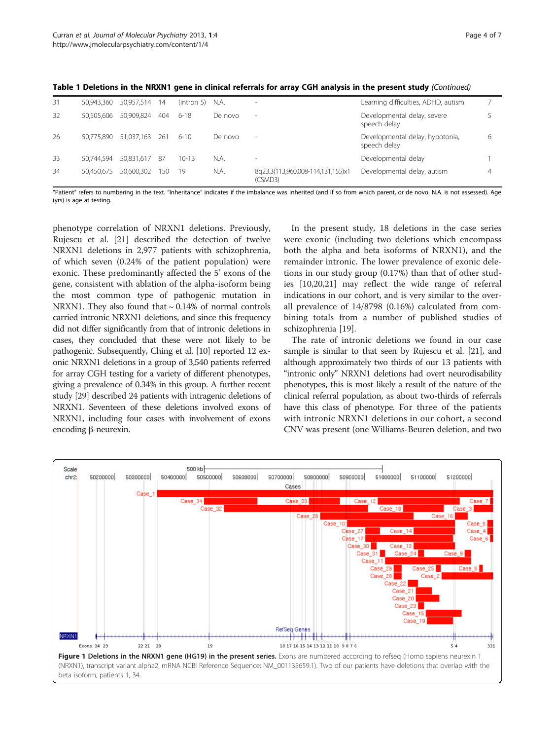| 31 | 50,943,360 | 50,957,514 | 14  | (intron 5) | N.A.    |                                              | Learning difficulties, ADHD, autism             |   |
|----|------------|------------|-----|------------|---------|----------------------------------------------|-------------------------------------------------|---|
| 32 | 50,505,606 | 50,909,824 | 404 | $6-18$     | De novo | $\sim$                                       | Developmental delay, severe<br>speech delay     |   |
| 26 | 50.775.890 | 51,037,163 | 261 | $6 - 10$   | De novo | $\overline{\phantom{a}}$                     | Developmental delay, hypotonia,<br>speech delay | 6 |
| 33 | 50.744.594 | 50,831,617 | -87 | $10 - 13$  | N.A.    |                                              | Developmental delay                             |   |
| 34 | 50.450.675 | 50.600.302 | 150 | 19         | N.A.    | 8q23.3(113,960,008-114,131,155)x1<br>(CSMD3) | Developmental delay, autism                     | 4 |

<span id="page-3-0"></span>Table 1 Deletions in the NRXN1 gene in clinical referrals for array CGH analysis in the present study (Continued)

"Patient" refers to numbering in the text. "Inheritance" indicates if the imbalance was inherited (and if so from which parent, or de novo. N.A. is not assessed). Age (yrs) is age at testing.

phenotype correlation of NRXN1 deletions. Previously, Rujescu et al. [\[21](#page-6-0)] described the detection of twelve NRXN1 deletions in 2,977 patients with schizophrenia, of which seven (0.24% of the patient population) were exonic. These predominantly affected the 5' exons of the gene, consistent with ablation of the alpha-isoform being the most common type of pathogenic mutation in NRXN1. They also found that ~ 0.14% of normal controls carried intronic NRXN1 deletions, and since this frequency did not differ significantly from that of intronic deletions in cases, they concluded that these were not likely to be pathogenic. Subsequently, Ching et al. [\[10\]](#page-5-0) reported 12 exonic NRXN1 deletions in a group of 3,540 patients referred for array CGH testing for a variety of different phenotypes, giving a prevalence of 0.34% in this group. A further recent study [\[29\]](#page-6-0) described 24 patients with intragenic deletions of NRXN1. Seventeen of these deletions involved exons of NRXN1, including four cases with involvement of exons encoding β-neurexin.

In the present study, 18 deletions in the case series were exonic (including two deletions which encompass both the alpha and beta isoforms of NRXN1), and the remainder intronic. The lower prevalence of exonic deletions in our study group (0.17%) than that of other studies [[10](#page-5-0),[20](#page-6-0),[21](#page-6-0)] may reflect the wide range of referral indications in our cohort, and is very similar to the overall prevalence of 14/8798 (0.16%) calculated from combining totals from a number of published studies of schizophrenia [\[19](#page-6-0)].

The rate of intronic deletions we found in our case sample is similar to that seen by Rujescu et al. [\[21\]](#page-6-0), and although approximately two thirds of our 13 patients with "intronic only" NRXN1 deletions had overt neurodisability phenotypes, this is most likely a result of the nature of the clinical referral population, as about two-thirds of referrals have this class of phenotype. For three of the patients with intronic NRXN1 deletions in our cohort, a second CNV was present (one Williams-Beuren deletion, and two

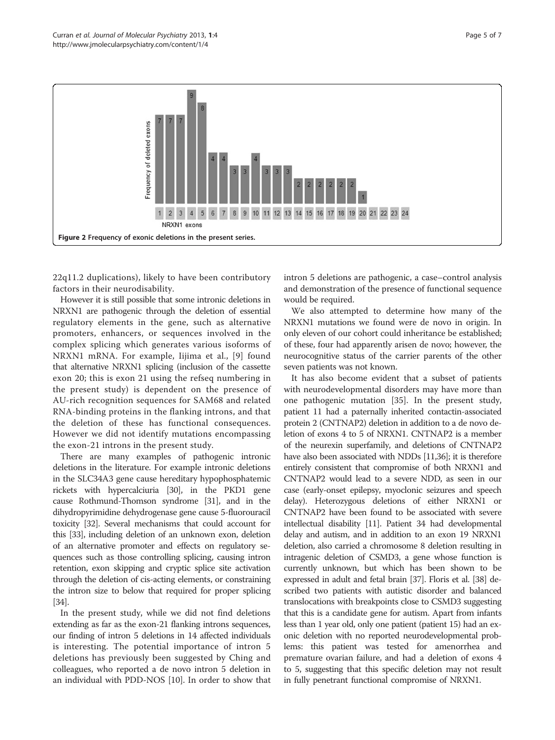<span id="page-4-0"></span>

22q11.2 duplications), likely to have been contributory factors in their neurodisability.

However it is still possible that some intronic deletions in NRXN1 are pathogenic through the deletion of essential regulatory elements in the gene, such as alternative promoters, enhancers, or sequences involved in the complex splicing which generates various isoforms of NRXN1 mRNA. For example, Iijima et al., [[9](#page-5-0)] found that alternative NRXN1 splicing (inclusion of the cassette exon 20; this is exon 21 using the refseq numbering in the present study) is dependent on the presence of AU-rich recognition sequences for SAM68 and related RNA-binding proteins in the flanking introns, and that the deletion of these has functional consequences. However we did not identify mutations encompassing the exon-21 introns in the present study.

There are many examples of pathogenic intronic deletions in the literature. For example intronic deletions in the SLC34A3 gene cause hereditary hypophosphatemic rickets with hypercalciuria [[30](#page-6-0)], in the PKD1 gene cause Rothmund-Thomson syndrome [\[31\]](#page-6-0), and in the dihydropyrimidine dehydrogenase gene cause 5-fluorouracil toxicity [\[32](#page-6-0)]. Several mechanisms that could account for this [\[33\]](#page-6-0), including deletion of an unknown exon, deletion of an alternative promoter and effects on regulatory sequences such as those controlling splicing, causing intron retention, exon skipping and cryptic splice site activation through the deletion of cis-acting elements, or constraining the intron size to below that required for proper splicing [[34](#page-6-0)].

In the present study, while we did not find deletions extending as far as the exon-21 flanking introns sequences, our finding of intron 5 deletions in 14 affected individuals is interesting. The potential importance of intron 5 deletions has previously been suggested by Ching and colleagues, who reported a de novo intron 5 deletion in an individual with PDD-NOS [[10](#page-5-0)]. In order to show that intron 5 deletions are pathogenic, a case–control analysis and demonstration of the presence of functional sequence would be required.

We also attempted to determine how many of the NRXN1 mutations we found were de novo in origin. In only eleven of our cohort could inheritance be established; of these, four had apparently arisen de novo; however, the neurocognitive status of the carrier parents of the other seven patients was not known.

It has also become evident that a subset of patients with neurodevelopmental disorders may have more than one pathogenic mutation [\[35\]](#page-6-0). In the present study, patient 11 had a paternally inherited contactin-associated protein 2 (CNTNAP2) deletion in addition to a de novo deletion of exons 4 to 5 of NRXN1. CNTNAP2 is a member of the neurexin superfamily, and deletions of CNTNAP2 have also been associated with NDDs [[11,](#page-5-0)[36](#page-6-0)]; it is therefore entirely consistent that compromise of both NRXN1 and CNTNAP2 would lead to a severe NDD, as seen in our case (early-onset epilepsy, myoclonic seizures and speech delay). Heterozygous deletions of either NRXN1 or CNTNAP2 have been found to be associated with severe intellectual disability [\[11\]](#page-5-0). Patient 34 had developmental delay and autism, and in addition to an exon 19 NRXN1 deletion, also carried a chromosome 8 deletion resulting in intragenic deletion of CSMD3, a gene whose function is currently unknown, but which has been shown to be expressed in adult and fetal brain [\[37](#page-6-0)]. Floris et al. [\[38\]](#page-6-0) described two patients with autistic disorder and balanced translocations with breakpoints close to CSMD3 suggesting that this is a candidate gene for autism. Apart from infants less than 1 year old, only one patient (patient 15) had an exonic deletion with no reported neurodevelopmental problems: this patient was tested for amenorrhea and premature ovarian failure, and had a deletion of exons 4 to 5, suggesting that this specific deletion may not result in fully penetrant functional compromise of NRXN1.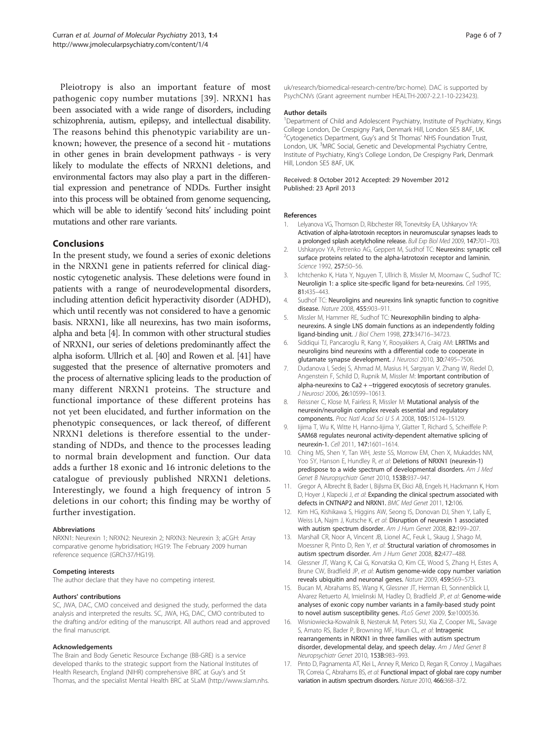<span id="page-5-0"></span>Pleiotropy is also an important feature of most pathogenic copy number mutations [[39](#page-6-0)]. NRXN1 has been associated with a wide range of disorders, including schizophrenia, autism, epilepsy, and intellectual disability. The reasons behind this phenotypic variability are unknown; however, the presence of a second hit - mutations in other genes in brain development pathways - is very likely to modulate the effects of NRXN1 deletions, and environmental factors may also play a part in the differential expression and penetrance of NDDs. Further insight into this process will be obtained from genome sequencing, which will be able to identify 'second hits' including point mutations and other rare variants.

## Conclusions

In the present study, we found a series of exonic deletions in the NRXN1 gene in patients referred for clinical diagnostic cytogenetic analysis. These deletions were found in patients with a range of neurodevelopmental disorders, including attention deficit hyperactivity disorder (ADHD), which until recently was not considered to have a genomic basis. NRXN1, like all neurexins, has two main isoforms, alpha and beta [4]. In common with other structural studies of NRXN1, our series of deletions predominantly affect the alpha isoform. Ullrich et al. [\[40](#page-6-0)] and Rowen et al. [\[41\]](#page-6-0) have suggested that the presence of alternative promoters and the process of alternative splicing leads to the production of many different NRXN1 proteins. The structure and functional importance of these different proteins has not yet been elucidated, and further information on the phenotypic consequences, or lack thereof, of different NRXN1 deletions is therefore essential to the understanding of NDDs, and thence to the processes leading to normal brain development and function. Our data adds a further 18 exonic and 16 intronic deletions to the catalogue of previously published NRXN1 deletions. Interestingly, we found a high frequency of intron 5 deletions in our cohort; this finding may be worthy of further investigation.

#### Abbreviations

NRXN1: Neurexin 1; NRXN2: Neurexin 2; NRXN3: Neurexin 3; aCGH: Array comparative genome hybridisation; HG19: The February 2009 human reference sequence (GRCh37/HG19).

#### Competing interests

The author declare that they have no competing interest.

#### Authors' contributions

SC, JWA, DAC, CMO conceived and designed the study, performed the data analysis and interpreted the results. SC, JWA, HG, DAC, CMO contributed to the drafting and/or editing of the manuscript. All authors read and approved the final manuscript.

#### Acknowledgements

The Brain and Body Genetic Resource Exchange (BB-GRE) is a service developed thanks to the strategic support from the National Institutes of Health Research, England (NIHR) comprehensive BRC at Guy's and St Thomas, and the specialist Mental Health BRC at SLaM [\(http://www.slam.nhs.](http://www.slam.nhs.uk/research/biomedical-research-centre/brc-home)

[uk/research/biomedical-research-centre/brc-home](http://www.slam.nhs.uk/research/biomedical-research-centre/brc-home)). DAC is supported by PsychCNVs (Grant agreement number HEALTH-2007-2.2.1-10-223423).

#### Author details

<sup>1</sup>Department of Child and Adolescent Psychiatry, Institute of Psychiatry, Kings College London, De Crespigny Park, Denmark Hill, London SE5 8AF, UK. <sup>2</sup>Cytogenetics Department, Guy's and St Thomas' NHS Foundation Trust, London, UK.<sup>3</sup>MRC Social, Genetic and Developmental Psychiatry Centre, Institute of Psychiatry, King's College London, De Crespigny Park, Denmark Hill, London SE5 8AF, UK.

#### Received: 8 October 2012 Accepted: 29 November 2012 Published: 23 April 2013

#### References

- Lelyanova VG, Thomson D, Ribchester RR, Tonevitsky EA, Ushkaryov YA: Activation of alpha-latrotoxin receptors in neuromuscular synapses leads to a prolonged splash acetylcholine release. Bull Exp Biol Med 2009, 147:701–703.
- 2. Ushkaryov YA, Petrenko AG, Geppert M, Sudhof TC: Neurexins: synaptic cell surface proteins related to the alpha-latrotoxin receptor and laminin. Science 1992, 257:50–56.
- 3. Ichtchenko K, Hata Y, Nguyen T, Ullrich B, Missler M, Moomaw C, Sudhof TC: Neuroligin 1: a splice site-specific ligand for beta-neurexins. Cell 1995, 81:435–443.
- 4. Sudhof TC: Neuroligins and neurexins link synaptic function to cognitive disease. Nature 2008, 455:903–911.
- 5. Missler M, Hammer RE, Sudhof TC: Neurexophilin binding to alphaneurexins. A single LNS domain functions as an independently folding ligand-binding unit. J Biol Chem 1998, 273:34716–34723.
- 6. Siddiqui TJ, Pancaroglu R, Kang Y, Rooyakkers A, Craig AM: LRRTMs and neuroligins bind neurexins with a differential code to cooperate in glutamate synapse development. J Neurosci 2010, 30:7495–7506.
- 7. Dudanova I, Sedej S, Ahmad M, Masius H, Sargsyan V, Zhang W, Riedel D, Angenstein F, Schild D, Rupnik M, Missler M: Important contribution of alpha-neurexins to Ca2 + -triggered exocytosis of secretory granules. J Neurosci 2006, 26:10599–10613.
- 8. Reissner C, Klose M, Fairless R, Missler M: Mutational analysis of the neurexin/neuroligin complex reveals essential and regulatory components. Proc Natl Acad Sci U S A 2008, 105:15124–15129.
- lijima T, Wu K, Witte H, Hanno-Iijima Y, Glatter T, Richard S, Scheiffele P: SAM68 regulates neuronal activity-dependent alternative splicing of neurexin-1. Cell 2011, 147:1601–1614.
- 10. Ching MS, Shen Y, Tan WH, Jeste SS, Morrow EM, Chen X, Mukaddes NM, Yoo SY, Hanson E, Hundley R, et al: Deletions of NRXN1 (neurexin-1) predispose to a wide spectrum of developmental disorders. Am J Med Genet B Neuropsychiatr Genet 2010, 153B:937–947.
- 11. Gregor A, Albrecht B, Bader I, Bijlsma EK, Ekici AB, Engels H, Hackmann K, Horn D, Hoyer J, Klapecki J, et al: Expanding the clinical spectrum associated with defects in CNTNAP2 and NRXN1. BMC Med Genet 2011, 12:106.
- 12. Kim HG, Kishikawa S, Higgins AW, Seong IS, Donovan DJ, Shen Y, Lally E, Weiss LA, Najm J, Kutsche K, et al: Disruption of neurexin 1 associated with autism spectrum disorder. Am J Hum Genet 2008, 82:199–207.
- 13. Marshall CR, Noor A, Vincent JB, Lionel AC, Feuk L, Skaug J, Shago M, Moessner R, Pinto D, Ren Y, et al: Structural variation of chromosomes in autism spectrum disorder. Am J Hum Genet 2008, 82:477–488.
- 14. Glessner JT, Wang K, Cai G, Korvatska O, Kim CE, Wood S, Zhang H, Estes A, Brune CW, Bradfield JP, et al: Autism genome-wide copy number variation reveals ubiquitin and neuronal genes. Nature 2009, 459:569–573.
- 15. Bucan M, Abrahams BS, Wang K, Glessner JT, Herman EI, Sonnenblick LI, Alvarez Retuerto AI, Imielinski M, Hadley D, Bradfield JP, et al: Genome-wide analyses of exonic copy number variants in a family-based study point to novel autism susceptibility genes. PLoS Genet 2009, 5:e1000536.
- 16. Wisniowiecka-Kowalnik B, Nesteruk M, Peters SU, Xia Z, Cooper ML, Savage S, Amato RS, Bader P, Browning MF, Haun CL, et al: Intragenic rearrangements in NRXN1 in three families with autism spectrum disorder, developmental delay, and speech delay. Am J Med Genet B Neuropsychiatr Genet 2010, 153B:983–993.
- 17. Pinto D, Pagnamenta AT, Klei L, Anney R, Merico D, Regan R, Conroy J, Magalhaes TR, Correia C, Abrahams BS, et al: Functional impact of global rare copy number variation in autism spectrum disorders. Nature 2010, 466:368–372.